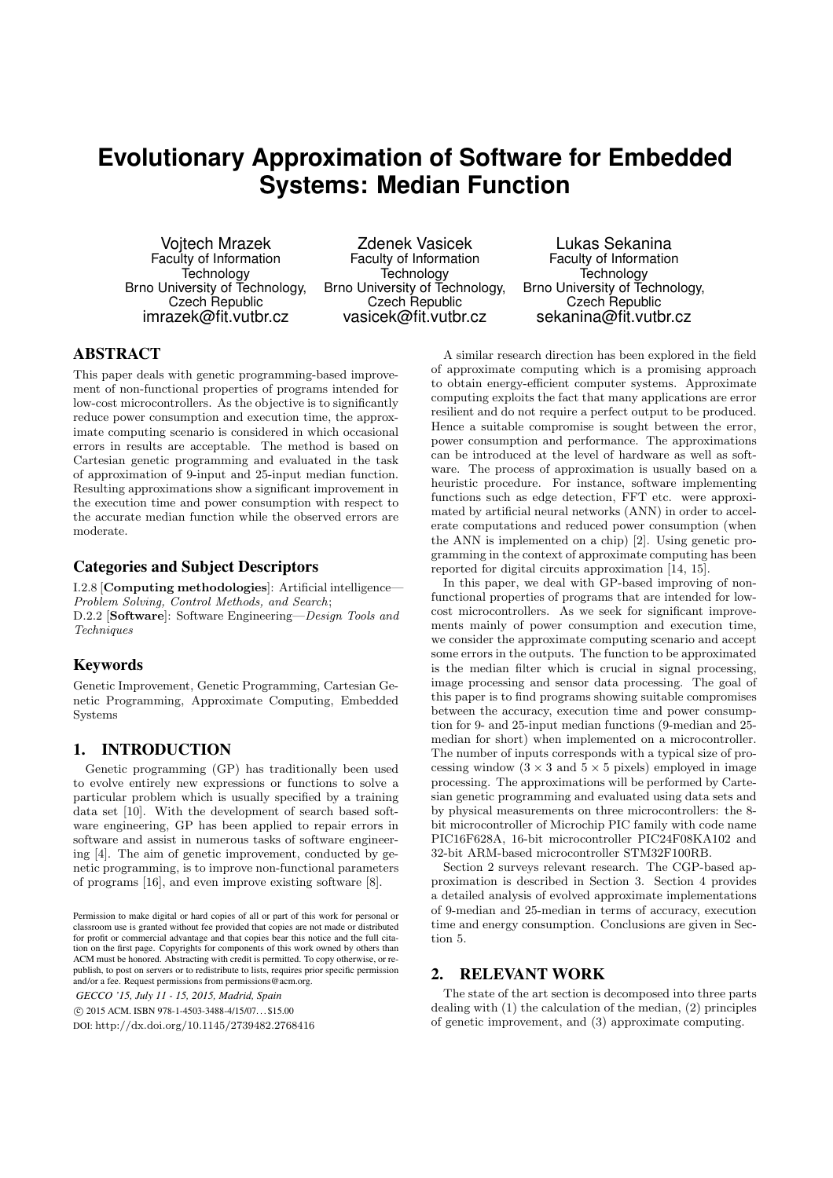# **Evolutionary Approximation of Software for Embedded Systems: Median Function**

Vojtech Mrazek Faculty of Information **Technology** Brno University of Technology, Czech Republic imrazek@fit.vutbr.cz

Zdenek Vasicek Faculty of Information **Technology** Brno University of Technology, Czech Republic vasicek@fit.vutbr.cz

Lukas Sekanina Faculty of Information **Technology** Brno University of Technology, Czech Republic sekanina@fit.vutbr.cz

# ABSTRACT

This paper deals with genetic programming-based improvement of non-functional properties of programs intended for low-cost microcontrollers. As the objective is to significantly reduce power consumption and execution time, the approximate computing scenario is considered in which occasional errors in results are acceptable. The method is based on Cartesian genetic programming and evaluated in the task of approximation of 9-input and 25-input median function. Resulting approximations show a significant improvement in the execution time and power consumption with respect to the accurate median function while the observed errors are moderate.

# Categories and Subject Descriptors

I.2.8 [Computing methodologies]: Artificial intelligence— *Problem Solving, Control Methods, and Search*; D.2.2 [Software]: Software Engineering—*Design Tools and Techniques*

# Keywords

Genetic Improvement, Genetic Programming, Cartesian Genetic Programming, Approximate Computing, Embedded Systems

## 1. INTRODUCTION

Genetic programming (GP) has traditionally been used to evolve entirely new expressions or functions to solve a particular problem which is usually specified by a training data set [10]. With the development of search based software engineering, GP has been applied to repair errors in software and assist in numerous tasks of software engineering [4]. The aim of genetic improvement, conducted by genetic programming, is to improve non-functional parameters of programs [16], and even improve existing software [8].

Permission to make digital or hard copies of all or part of this work for personal or classroom use is granted without fee provided that copies are not made or distributed for profit or commercial advantage and that copies bear this notice and the full citation on the first page. Copyrights for components of this work owned by others than ACM must be honored. Abstracting with credit is permitted. To copy otherwise, or republish, to post on servers or to redistribute to lists, requires prior specific permission and/or a fee. Request permissions from permissions@acm.org.

*GECCO '15, July 11 - 15, 2015, Madrid, Spain*

 $\odot$  2015 ACM. ISBN 978-1-4503-3488-4/15/07. \$15.00

A similar research direction has been explored in the field of approximate computing which is a promising approach to obtain energy-efficient computer systems. Approximate computing exploits the fact that many applications are error resilient and do not require a perfect output to be produced. Hence a suitable compromise is sought between the error, power consumption and performance. The approximations can be introduced at the level of hardware as well as software. The process of approximation is usually based on a heuristic procedure. For instance, software implementing functions such as edge detection, FFT etc. were approximated by artificial neural networks (ANN) in order to accelerate computations and reduced power consumption (when the ANN is implemented on a chip) [2]. Using genetic programming in the context of approximate computing has been reported for digital circuits approximation [14, 15].

In this paper, we deal with GP-based improving of nonfunctional properties of programs that are intended for lowcost microcontrollers. As we seek for significant improvements mainly of power consumption and execution time, we consider the approximate computing scenario and accept some errors in the outputs. The function to be approximated is the median filter which is crucial in signal processing, image processing and sensor data processing. The goal of this paper is to find programs showing suitable compromises between the accuracy, execution time and power consumption for 9- and 25-input median functions (9-median and 25 median for short) when implemented on a microcontroller. The number of inputs corresponds with a typical size of processing window  $(3 \times 3 \text{ and } 5 \times 5 \text{ pixels})$  employed in image processing. The approximations will be performed by Cartesian genetic programming and evaluated using data sets and by physical measurements on three microcontrollers: the 8 bit microcontroller of Microchip PIC family with code name PIC16F628A, 16-bit microcontroller PIC24F08KA102 and 32-bit ARM-based microcontroller STM32F100RB.

Section 2 surveys relevant research. The CGP-based approximation is described in Section 3. Section 4 provides a detailed analysis of evolved approximate implementations of 9-median and 25-median in terms of accuracy, execution time and energy consumption. Conclusions are given in Section 5.

# 2. RELEVANT WORK

The state of the art section is decomposed into three parts dealing with (1) the calculation of the median, (2) principles of genetic improvement, and (3) approximate computing.

DOI: http://dx.doi.org/10.1145/2739482.2768416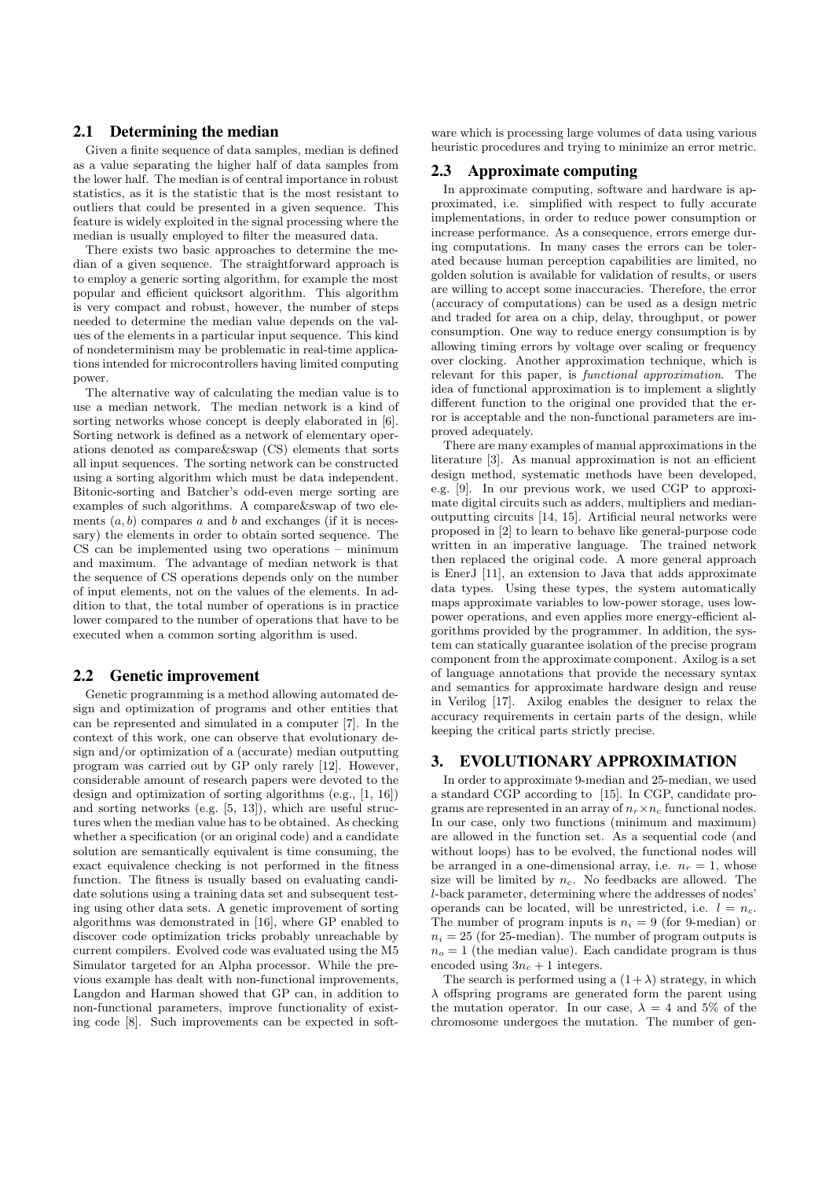## 2.1 Determining the median

Given a finite sequence of data samples, median is defined as a value separating the higher half of data samples from the lower half. The median is of central importance in robust statistics, as it is the statistic that is the most resistant to outliers that could be presented in a given sequence. This feature is widely exploited in the signal processing where the median is usually employed to filter the measured data.

There exists two basic approaches to determine the median of a given sequence. The straightforward approach is to employ a generic sorting algorithm, for example the most popular and efficient quicksort algorithm. This algorithm is very compact and robust, however, the number of steps needed to determine the median value depends on the values of the elements in a particular input sequence. This kind of nondeterminism may be problematic in real-time applications intended for microcontrollers having limited computing power.

The alternative way of calculating the median value is to use a median network. The median network is a kind of sorting networks whose concept is deeply elaborated in [6]. Sorting network is defined as a network of elementary operations denoted as compare&swap (CS) elements that sorts all input sequences. The sorting network can be constructed using a sorting algorithm which must be data independent. Bitonic-sorting and Batcher's odd-even merge sorting are examples of such algorithms. A compare&swap of two elements  $(a, b)$  compares  $a$  and  $b$  and exchanges (if it is necessary) the elements in order to obtain sorted sequence. The CS can be implemented using two operations – minimum and maximum. The advantage of median network is that the sequence of CS operations depends only on the number of input elements, not on the values of the elements. In addition to that, the total number of operations is in practice lower compared to the number of operations that have to be executed when a common sorting algorithm is used.

## 2.2 Genetic improvement

Genetic programming is a method allowing automated design and optimization of programs and other entities that can be represented and simulated in a computer [7]. In the context of this work, one can observe that evolutionary design and/or optimization of a (accurate) median outputting program was carried out by GP only rarely [12]. However, considerable amount of research papers were devoted to the design and optimization of sorting algorithms (e.g., [1, 16]) and sorting networks (e.g. [5, 13]), which are useful structures when the median value has to be obtained. As checking whether a specification (or an original code) and a candidate solution are semantically equivalent is time consuming, the exact equivalence checking is not performed in the fitness function. The fitness is usually based on evaluating candidate solutions using a training data set and subsequent testing using other data sets. A genetic improvement of sorting algorithms was demonstrated in [16], where GP enabled to discover code optimization tricks probably unreachable by current compilers. Evolved code was evaluated using the M5 Simulator targeted for an Alpha processor. While the previous example has dealt with non-functional improvements, Langdon and Harman showed that GP can, in addition to non-functional parameters, improve functionality of existing code [8]. Such improvements can be expected in soft-

ware which is processing large volumes of data using various heuristic procedures and trying to minimize an error metric.

#### 2.3 Approximate computing

In approximate computing, software and hardware is approximated, i.e. simplified with respect to fully accurate implementations, in order to reduce power consumption or increase performance. As a consequence, errors emerge during computations. In many cases the errors can be tolerated because human perception capabilities are limited, no golden solution is available for validation of results, or users are willing to accept some inaccuracies. Therefore, the error (accuracy of computations) can be used as a design metric and traded for area on a chip, delay, throughput, or power consumption. One way to reduce energy consumption is by allowing timing errors by voltage over scaling or frequency over clocking. Another approximation technique, which is relevant for this paper, is *functional approximation*. The idea of functional approximation is to implement a slightly different function to the original one provided that the error is acceptable and the non-functional parameters are improved adequately.

There are many examples of manual approximations in the literature [3]. As manual approximation is not an efficient design method, systematic methods have been developed, e.g. [9]. In our previous work, we used CGP to approximate digital circuits such as adders, multipliers and medianoutputting circuits [14, 15]. Artificial neural networks were proposed in [2] to learn to behave like general-purpose code written in an imperative language. The trained network then replaced the original code. A more general approach is EnerJ [11], an extension to Java that adds approximate data types. Using these types, the system automatically maps approximate variables to low-power storage, uses lowpower operations, and even applies more energy-efficient algorithms provided by the programmer. In addition, the system can statically guarantee isolation of the precise program component from the approximate component. Axilog is a set of language annotations that provide the necessary syntax and semantics for approximate hardware design and reuse in Verilog [17]. Axilog enables the designer to relax the accuracy requirements in certain parts of the design, while keeping the critical parts strictly precise.

# 3. EVOLUTIONARY APPROXIMATION

In order to approximate 9-median and 25-median, we used a standard CGP according to [15]. In CGP, candidate programs are represented in an array of  $n_r \times n_c$  functional nodes. In our case, only two functions (minimum and maximum) are allowed in the function set. As a sequential code (and without loops) has to be evolved, the functional nodes will be arranged in a one-dimensional array, i.e.  $n_r = 1$ , whose size will be limited by  $n_c$ . No feedbacks are allowed. The *l*-back parameter, determining where the addresses of nodes' operands can be located, will be unrestricted, i.e.  $l = n_c$ . The number of program inputs is  $n<sub>i</sub> = 9$  (for 9-median) or  $n_i = 25$  (for 25-median). The number of program outputs is  $n<sub>o</sub> = 1$  (the median value). Each candidate program is thus encoded using  $3n_c + 1$  integers.

The search is performed using a  $(1 + \lambda)$  strategy, in which  $\lambda$  offspring programs are generated form the parent using the mutation operator. In our case,  $\lambda = 4$  and 5% of the chromosome undergoes the mutation. The number of gen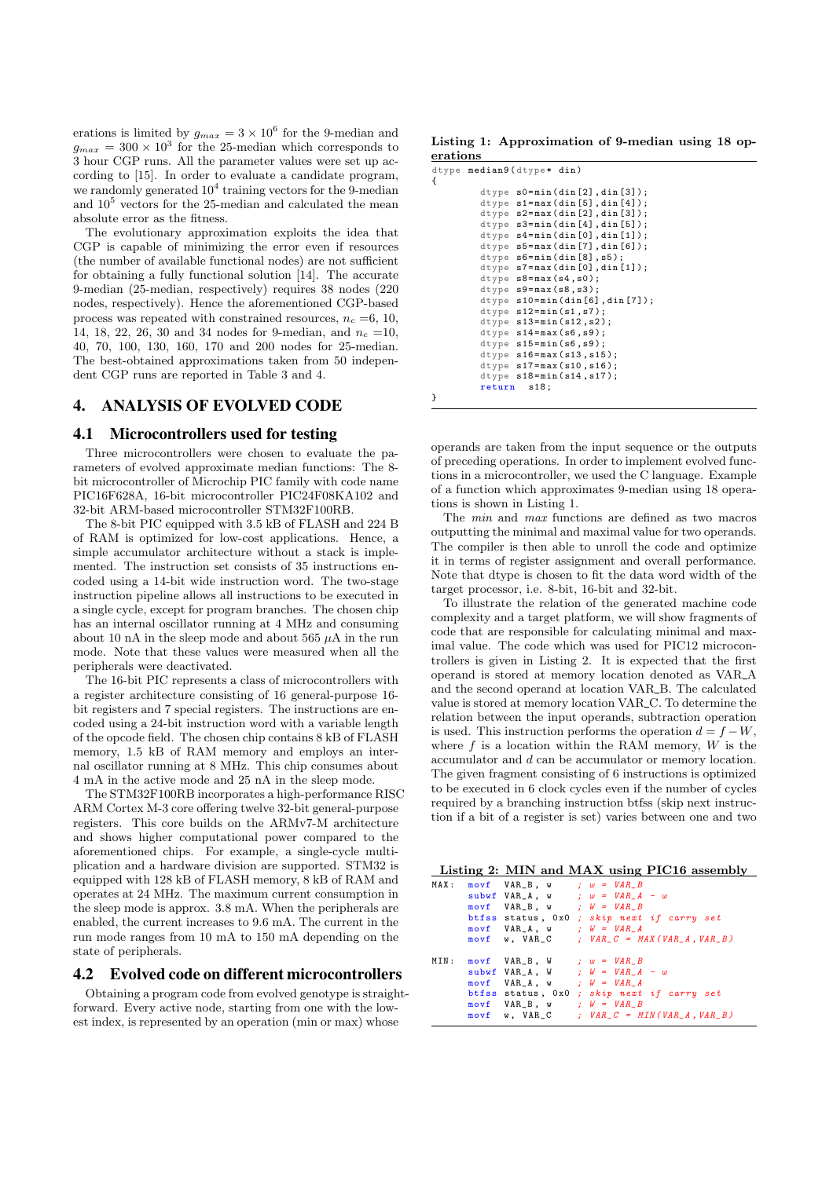erations is limited by  $g_{max} = 3 \times 10^6$  for the 9-median and  $g_{max} = 300 \times 10^3$  for the 25-median which corresponds to 3 hour CGP runs. All the parameter values were set up according to [15]. In order to evaluate a candidate program, we randomly generated  $10^4$  training vectors for the 9-median and  $10<sup>5</sup>$  vectors for the 25-median and calculated the mean absolute error as the fitness.

The evolutionary approximation exploits the idea that CGP is capable of minimizing the error even if resources (the number of available functional nodes) are not sufficient for obtaining a fully functional solution [14]. The accurate 9-median (25-median, respectively) requires 38 nodes (220 nodes, respectively). Hence the aforementioned CGP-based process was repeated with constrained resources,  $n_c = 6, 10$ , 14, 18, 22, 26, 30 and 34 nodes for 9-median, and  $n_c = 10$ , 40, 70, 100, 130, 160, 170 and 200 nodes for 25-median. The best-obtained approximations taken from 50 independent CGP runs are reported in Table 3 and 4.

## 4. ANALYSIS OF EVOLVED CODE

#### 4.1 Microcontrollers used for testing

Three microcontrollers were chosen to evaluate the parameters of evolved approximate median functions: The 8 bit microcontroller of Microchip PIC family with code name PIC16F628A, 16-bit microcontroller PIC24F08KA102 and 32-bit ARM-based microcontroller STM32F100RB.

The 8-bit PIC equipped with 3.5 kB of FLASH and 224 B of RAM is optimized for low-cost applications. Hence, a simple accumulator architecture without a stack is implemented. The instruction set consists of 35 instructions encoded using a 14-bit wide instruction word. The two-stage instruction pipeline allows all instructions to be executed in a single cycle, except for program branches. The chosen chip has an internal oscillator running at 4 MHz and consuming about 10 nA in the sleep mode and about 565  $\mu$ A in the run mode. Note that these values were measured when all the peripherals were deactivated.

The 16-bit PIC represents a class of microcontrollers with a register architecture consisting of 16 general-purpose 16 bit registers and 7 special registers. The instructions are encoded using a 24-bit instruction word with a variable length of the opcode field. The chosen chip contains 8 kB of FLASH memory, 1.5 kB of RAM memory and employs an internal oscillator running at 8 MHz. This chip consumes about 4 mA in the active mode and 25 nA in the sleep mode.

The STM32F100RB incorporates a high-performance RISC ARM Cortex M-3 core offering twelve 32-bit general-purpose registers. This core builds on the ARMv7-M architecture and shows higher computational power compared to the aforementioned chips. For example, a single-cycle multiplication and a hardware division are supported. STM32 is equipped with 128 kB of FLASH memory, 8 kB of RAM and operates at 24 MHz. The maximum current consumption in the sleep mode is approx. 3.8 mA. When the peripherals are enabled, the current increases to 9.6 mA. The current in the run mode ranges from 10 mA to 150 mA depending on the state of peripherals.

#### 4.2 Evolved code on different microcontrollers

Obtaining a program code from evolved genotype is straightforward. Every active node, starting from one with the lowest index, is represented by an operation (min or max) whose

Listing 1: Approximation of 9-median using 18 operations

| dtype median9(dtype* din)<br>€ |                                            |
|--------------------------------|--------------------------------------------|
|                                | dtype $s0 = min(din [2], dim [3])$ ;       |
|                                | dtype $s1 = max$ (din [5], din [4]);       |
|                                | dtype $s2 = max$ (din [2], din [3]);       |
|                                | dtype $s3 = min(din[4], dim[5])$ ;         |
|                                | $dtype$ s4=min(din[0], din[1]);            |
|                                | $dtype$ s5=max(din[7],din[6]);             |
|                                | $\texttt{dtype s6=min(din[8],s5)}$ ;       |
|                                | dtype $s7 = max$ (din $[0]$ , din $[1]$ ); |
|                                | dtype $s8 = max(s4, s0)$ ;                 |
|                                | dtype $s9 = max(s8, s3)$ ;                 |
|                                | dtype $s10 = min(din[6], dim[7])$ ;        |
|                                | $dtype$ s12=min(s1,s7);                    |
|                                | dtype $s13 = min(s12, s2)$ ;               |
|                                | dtype $s14 = max(s6, s9)$ ;                |
|                                | dtype $s15 = min(s6, s9)$ ;                |
|                                | dtype $s16 = max(s13, s15)$ ;              |
|                                | dtype $s17 = max(s10, s16)$ ;              |
|                                | dtype $s18 = min(s14, s17)$ ;              |
| return                         | s18;                                       |
| }                              |                                            |

operands are taken from the input sequence or the outputs of preceding operations. In order to implement evolved functions in a microcontroller, we used the C language. Example of a function which approximates 9-median using 18 operations is shown in Listing 1.

The *min* and *max* functions are defined as two macros outputting the minimal and maximal value for two operands. The compiler is then able to unroll the code and optimize it in terms of register assignment and overall performance. Note that dtype is chosen to fit the data word width of the target processor, i.e. 8-bit, 16-bit and 32-bit.

To illustrate the relation of the generated machine code complexity and a target platform, we will show fragments of code that are responsible for calculating minimal and maximal value. The code which was used for PIC12 microcontrollers is given in Listing 2. It is expected that the first operand is stored at memory location denoted as VAR A and the second operand at location VAR B. The calculated value is stored at memory location VAR C. To determine the relation between the input operands, subtraction operation is used. This instruction performs the operation  $d = f - W$ , where *f* is a location within the RAM memory, *W* is the accumulator and *d* can be accumulator or memory location. The given fragment consisting of 6 instructions is optimized to be executed in 6 clock cycles even if the number of cycles required by a branching instruction btfss (skip next instruction if a bit of a register is set) varies between one and two

#### Listing 2: MIN and MAX using PIC16 assembly

|  | $MAX:$ movf $VAR_B$ , w ; $w = VAR_B$<br>$movf$ $VAR_B$ , $w$ ; $W = VAR_B$<br>movf $VAR_A, w$ ; $W = VAR_A$ | subwf $VAR_A$ , w ; $w = VAR_A - w$<br>btfss status, OxO ; skip next if carry set<br>movf $W$ , $VAR_C$ ; $VAR_C = MAX(VAR_A, VAR_B)$ |
|--|--------------------------------------------------------------------------------------------------------------|---------------------------------------------------------------------------------------------------------------------------------------|
|  | MIN: $movf$ VAR_B, W ; $w = VAR\_B$<br>movf $VAR_A, w$ ; $W = VAR_A$<br>movf $VAR_B$ , w : $W = VAR_B$       | subwf VAR_A, W : $W = VAR_A - w$<br>btfss status, OxO ; skip next if carry set<br>movf $w$ , $VAR_C$ ; $VAR_C = MIN(VAR_A, VAR_B)$    |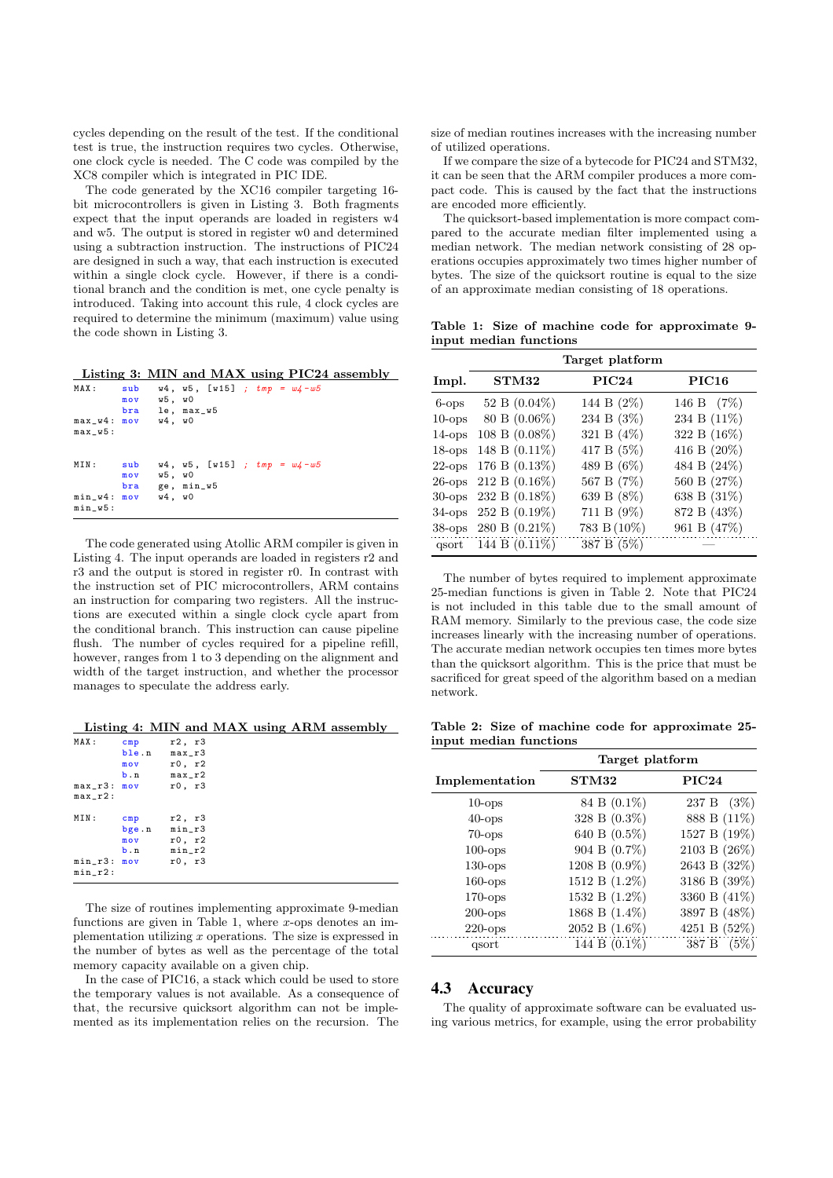cycles depending on the result of the test. If the conditional test is true, the instruction requires two cycles. Otherwise, one clock cycle is needed. The C code was compiled by the XC8 compiler which is integrated in PIC IDE.

The code generated by the XC16 compiler targeting 16 bit microcontrollers is given in Listing 3. Both fragments expect that the input operands are loaded in registers w4 and w5. The output is stored in register w0 and determined using a subtraction instruction. The instructions of PIC24 are designed in such a way, that each instruction is executed within a single clock cycle. However, if there is a conditional branch and the condition is met, one cycle penalty is introduced. Taking into account this rule, 4 clock cycles are required to determine the minimum (maximum) value using the code shown in Listing 3.

Listing 3: MIN and MAX using PIC24 assembly

| MAX :        | sub<br>mov<br>bra | w5, w0 | $w4$ , $w5$ , [ $w15$ ]; $tmp = w4-w5$<br>le, max_w5 |
|--------------|-------------------|--------|------------------------------------------------------|
| $max_w4:mov$ |                   | w4, w0 |                                                      |
| $max_w 5:$   |                   |        |                                                      |
| MIN :        | sub<br>mov        | w5, w0 | $w4$ , $w5$ , $[w15]$ ; $tmp = w4-w5$                |
|              | bra               |        | ge, min_w5                                           |
|              |                   |        |                                                      |
| $min_w4:mov$ |                   | w4, w0 |                                                      |
| $min_w 5:$   |                   |        |                                                      |

The code generated using Atollic ARM compiler is given in Listing 4. The input operands are loaded in registers r2 and r3 and the output is stored in register r0. In contrast with the instruction set of PIC microcontrollers, ARM contains an instruction for comparing two registers. All the instructions are executed within a single clock cycle apart from the conditional branch. This instruction can cause pipeline flush. The number of cycles required for a pipeline refill, however, ranges from 1 to 3 depending on the alignment and width of the target instruction, and whether the processor manages to speculate the address early.

Listing 4: MIN and MAX using ARM assembly

| MAX:                       | cmp<br>$bl$ e.n<br>mov<br>$b \cdot n$ | r2, r3<br>max_r3<br>r0, r2<br>max_r2         |
|----------------------------|---------------------------------------|----------------------------------------------|
| $max_r3:mov$<br>$max_r2$ : |                                       | r0, r3                                       |
| MIN:                       | cmp<br>mov<br>$b \cdot n$             | r2, r3<br>bge.n min_r3<br>r0, r2<br>$min_r2$ |
| $min_r3:mov$<br>$min_r2$ : |                                       | r0, r3                                       |

The size of routines implementing approximate 9-median functions are given in Table 1, where *x*-ops denotes an implementation utilizing *x* operations. The size is expressed in the number of bytes as well as the percentage of the total memory capacity available on a given chip.

In the case of PIC16, a stack which could be used to store the temporary values is not available. As a consequence of that, the recursive quicksort algorithm can not be implemented as its implementation relies on the recursion. The size of median routines increases with the increasing number of utilized operations.

If we compare the size of a bytecode for PIC24 and STM32, it can be seen that the ARM compiler produces a more compact code. This is caused by the fact that the instructions are encoded more efficiently.

The quicksort-based implementation is more compact compared to the accurate median filter implemented using a median network. The median network consisting of 28 operations occupies approximately two times higher number of bytes. The size of the quicksort routine is equal to the size of an approximate median consisting of 18 operations.

Table 1: Size of machine code for approximate 9 input median functions

|           | Target platform  |              |              |  |  |  |
|-----------|------------------|--------------|--------------|--|--|--|
| Impl.     | STM32            | <b>PIC24</b> | <b>PIC16</b> |  |  |  |
| $6$ -ops  | 52 B $(0.04\%)$  | 144 B (2%)   | 146 B (7%)   |  |  |  |
| $10$ -ops | 80 B (0.06%)     | 234 B (3%)   | 234 B (11%)  |  |  |  |
| $14$ -ops | 108 B (0.08%)    | 321 B (4%)   | 322 B (16%)  |  |  |  |
| $18$ -ops | 148 B $(0.11\%)$ | 417 B (5%)   | 416 B (20%)  |  |  |  |
| $22$ -ops | 176 B $(0.13\%)$ | 489 B (6%)   | 484 B (24%)  |  |  |  |
| $26$ -ops | 212 B (0.16%)    | 567 B (7%)   | 560 B (27%)  |  |  |  |
| $30$ -ops | 232 B (0.18%)    | 639 B (8%)   | 638 B (31%)  |  |  |  |
| $34$ -ops | 252 B (0.19%)    | 711 B (9%)   | 872 B (43%)  |  |  |  |
| $38$ -ops | 280 B (0.21%)    | 783 B (10%)  | 961 B (47%)  |  |  |  |
| qsort     | 144 B $(0.11\%)$ | 387 B (5%)   |              |  |  |  |

The number of bytes required to implement approximate 25-median functions is given in Table 2. Note that PIC24 is not included in this table due to the small amount of RAM memory. Similarly to the previous case, the code size increases linearly with the increasing number of operations. The accurate median network occupies ten times more bytes than the quicksort algorithm. This is the price that must be sacrificed for great speed of the algorithm based on a median network.

Table 2: Size of machine code for approximate 25 input median functions

|                | Target platform |              |  |  |
|----------------|-----------------|--------------|--|--|
| Implementation | STM32           | <b>PIC24</b> |  |  |
| $10$ -ops      | 84 B (0.1%)     | 237 B (3%)   |  |  |
| $40$ -ops      | 328 B (0.3%)    | 888 B (11%)  |  |  |
| $70$ -ops      | 640 B (0.5%)    | 1527 B (19%) |  |  |
| $100$ -ops     | 904 B (0.7%)    | 2103 B (26%) |  |  |
| $130$ -ops     | 1208 B (0.9%)   | 2643 B (32%) |  |  |
| $160$ -ops     | 1512 B (1.2%)   | 3186 B (39%) |  |  |
| $170$ -ops     | 1532 B (1.2%)   | 3360 B (41%) |  |  |
| $200$ -ops     | 1868 B (1.4%)   | 3897 B (48%) |  |  |
| $220$ -ops     | 2052 B (1.6%)   | 4251 B (52%) |  |  |
| qsort          | 144 B (0.1%)    | 387 B (5%)   |  |  |

# 4.3 Accuracy

The quality of approximate software can be evaluated using various metrics, for example, using the error probability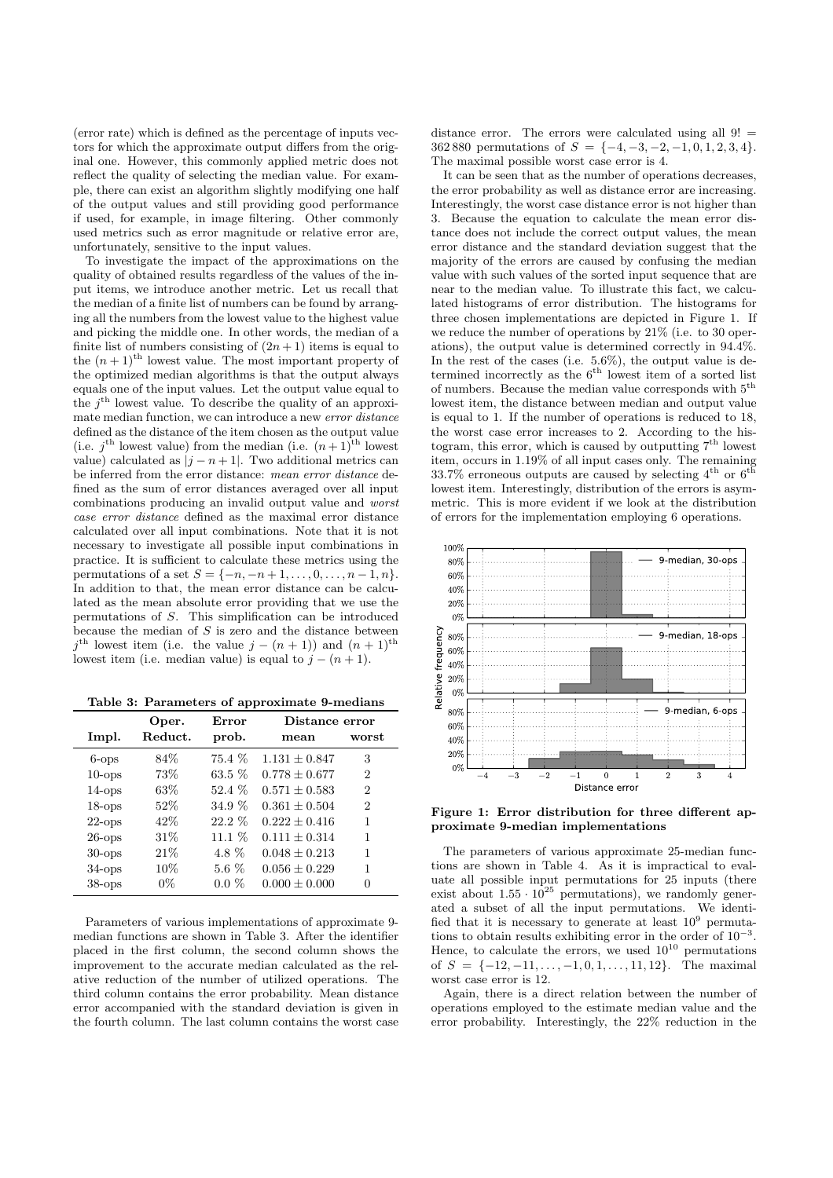(error rate) which is defined as the percentage of inputs vectors for which the approximate output differs from the original one. However, this commonly applied metric does not reflect the quality of selecting the median value. For example, there can exist an algorithm slightly modifying one half of the output values and still providing good performance if used, for example, in image filtering. Other commonly used metrics such as error magnitude or relative error are, unfortunately, sensitive to the input values.

To investigate the impact of the approximations on the quality of obtained results regardless of the values of the input items, we introduce another metric. Let us recall that the median of a finite list of numbers can be found by arranging all the numbers from the lowest value to the highest value and picking the middle one. In other words, the median of a finite list of numbers consisting of  $(2n + 1)$  items is equal to the  $(n+1)$ <sup>th</sup> lowest value. The most important property of the optimized median algorithms is that the output always equals one of the input values. Let the output value equal to the  $j<sup>th</sup>$  lowest value. To describe the quality of an approximate median function, we can introduce a new *error distance* defined as the distance of the item chosen as the output value (i.e.  $j^{\text{th}}$  lowest value) from the median (i.e.  $(n+1)^{\text{th}}$  lowest value) calculated as  $|j - n + 1|$ . Two additional metrics can be inferred from the error distance: *mean error distance* defined as the sum of error distances averaged over all input combinations producing an invalid output value and *worst case error distance* defined as the maximal error distance calculated over all input combinations. Note that it is not necessary to investigate all possible input combinations in practice. It is sufficient to calculate these metrics using the permutations of a set  $S = \{-n, -n+1, \ldots, 0, \ldots, n-1, n\}.$ In addition to that, the mean error distance can be calculated as the mean absolute error providing that we use the permutations of *S*. This simplification can be introduced because the median of *S* is zero and the distance between  $j^{\text{th}}$  lowest item (i.e. the value  $j - (n + 1)$ ) and  $(n + 1)$ <sup>th</sup> lowest item (i.e. median value) is equal to  $j - (n + 1)$ .

Table 3: Parameters of approximate 9-medians

|           | Error<br>Oper. |          | Distance error    |                |
|-----------|----------------|----------|-------------------|----------------|
| Impl.     | Reduct.        | prob.    | mean              | worst          |
| $6$ -ops  | 84%            | 75.4 %   | $1.131 + 0.847$   | 3              |
| $10$ -ops | 73%            | 63.5 %   | $0.778 \pm 0.677$ | $\overline{2}$ |
| $14$ -ops | 63%            | $52.4\%$ | $0.571 \pm 0.583$ | $\overline{2}$ |
| $18$ -ops | $52\%$         | 34.9 %   | $0.361 + 0.504$   | $\overline{2}$ |
| $22$ -ops | $42\%$         | 22.2 %   | $0.222 + 0.416$   | 1              |
| $26$ -ops | 31%            | $11.1\%$ | $0.111 + 0.314$   | 1              |
| $30$ -ops | 21\%           | 4.8 %    | $0.048 \pm 0.213$ | 1              |
| $34$ -ops | 10%            | $5.6\%$  | $0.056 \pm 0.229$ | 1              |
| $38$ -ops | $0\%$          | $0.0\%$  | $0.000 \pm 0.000$ | 0              |

Parameters of various implementations of approximate 9 median functions are shown in Table 3. After the identifier placed in the first column, the second column shows the improvement to the accurate median calculated as the relative reduction of the number of utilized operations. The third column contains the error probability. Mean distance error accompanied with the standard deviation is given in the fourth column. The last column contains the worst case distance error. The errors were calculated using all  $9! =$ 362 880 permutations of  $S = \{-4, -3, -2, -1, 0, 1, 2, 3, 4\}.$ The maximal possible worst case error is 4.

It can be seen that as the number of operations decreases, the error probability as well as distance error are increasing. Interestingly, the worst case distance error is not higher than 3. Because the equation to calculate the mean error distance does not include the correct output values, the mean error distance and the standard deviation suggest that the majority of the errors are caused by confusing the median value with such values of the sorted input sequence that are near to the median value. To illustrate this fact, we calculated histograms of error distribution. The histograms for three chosen implementations are depicted in Figure 1. If we reduce the number of operations by 21% (i.e. to 30 operations), the output value is determined correctly in 94.4%. In the rest of the cases (i.e. 5.6%), the output value is determined incorrectly as the  $6<sup>th</sup>$  lowest item of a sorted list of numbers. Because the median value corresponds with 5th lowest item, the distance between median and output value is equal to 1. If the number of operations is reduced to 18, the worst case error increases to 2. According to the histogram, this error, which is caused by outputting  $7<sup>th</sup>$  lowest item, occurs in 1.19% of all input cases only. The remaining 33.7% erroneous outputs are caused by selecting  $4<sup>th</sup>$  or  $6<sup>th</sup>$ lowest item. Interestingly, distribution of the errors is asymmetric. This is more evident if we look at the distribution of errors for the implementation employing 6 operations.



Figure 1: Error distribution for three different approximate 9-median implementations

The parameters of various approximate 25-median functions are shown in Table 4. As it is impractical to evaluate all possible input permutations for 25 inputs (there exist about  $1.55 \cdot 10^{25}$  permutations), we randomly generated a subset of all the input permutations. We identified that it is necessary to generate at least  $10^9$  permutations to obtain results exhibiting error in the order of  $10^{-3}$ . Hence, to calculate the errors, we used  $10^{10}$  permutations of  $S = \{-12, -11, \ldots, -1, 0, 1, \ldots, 11, 12\}$ . The maximal worst case error is 12.

Again, there is a direct relation between the number of operations employed to the estimate median value and the error probability. Interestingly, the 22% reduction in the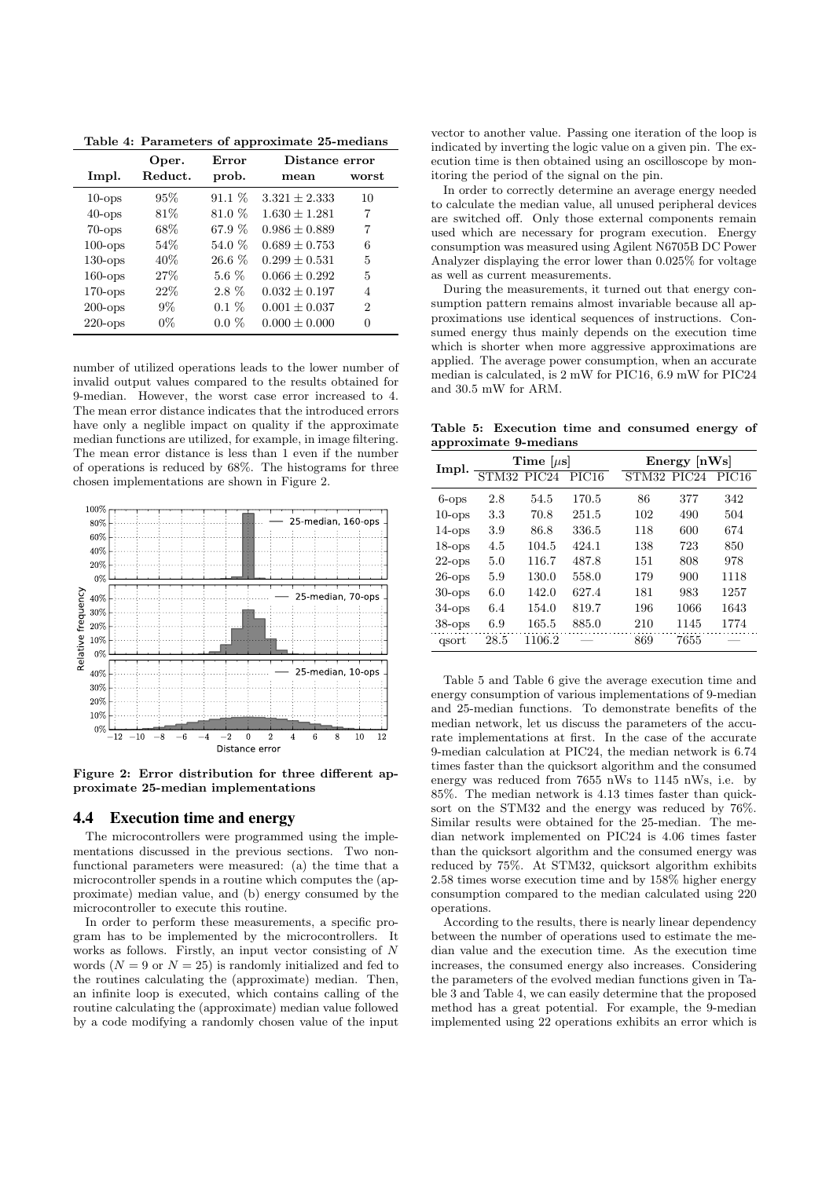Table 4: Parameters of approximate 25-medians

|            | Oper.   | Error    | Distance error    |       |
|------------|---------|----------|-------------------|-------|
| Impl.      | Reduct. | prob.    | mean              | worst |
| $10$ -ops  | 95%     | $91.1\%$ | $3.321 + 2.333$   | 10    |
| $40$ -ops  | 81\%    | 81.0 %   | $1.630 \pm 1.281$ | 7     |
| $70$ -ops  | 68%     | 67.9 %   | $0.986 + 0.889$   | 7     |
| $100$ -ops | 54%     | 54.0 %   | $0.689 + 0.753$   | 6     |
| $130$ -ops | $40\%$  | $26.6\%$ | $0.299 + 0.531$   | 5     |
| $160$ -ops | 27%     | $5.6\%$  | $0.066 + 0.292$   | 5     |
| $170$ -ops | 22%     | 2.8 %    | $0.032 + 0.197$   | 4     |
| $200$ -ops | $9\%$   | $0.1 \%$ | $0.001 + 0.037$   | 2     |
| $220$ -ops | $0\%$   | $0.0\%$  | $0.000 + 0.000$   | 0     |

number of utilized operations leads to the lower number of invalid output values compared to the results obtained for 9-median. However, the worst case error increased to 4. The mean error distance indicates that the introduced errors have only a neglible impact on quality if the approximate median functions are utilized, for example, in image filtering. The mean error distance is less than 1 even if the number of operations is reduced by 68%. The histograms for three chosen implementations are shown in Figure 2.



Figure 2: Error distribution for three different approximate 25-median implementations

## 4.4 Execution time and energy

The microcontrollers were programmed using the implementations discussed in the previous sections. Two nonfunctional parameters were measured: (a) the time that a microcontroller spends in a routine which computes the (approximate) median value, and (b) energy consumed by the microcontroller to execute this routine.

In order to perform these measurements, a specific program has to be implemented by the microcontrollers. It works as follows. Firstly, an input vector consisting of *N* words  $(N = 9 \text{ or } N = 25)$  is randomly initialized and fed to the routines calculating the (approximate) median. Then, an infinite loop is executed, which contains calling of the routine calculating the (approximate) median value followed by a code modifying a randomly chosen value of the input

vector to another value. Passing one iteration of the loop is indicated by inverting the logic value on a given pin. The execution time is then obtained using an oscilloscope by monitoring the period of the signal on the pin.

In order to correctly determine an average energy needed to calculate the median value, all unused peripheral devices are switched off. Only those external components remain used which are necessary for program execution. Energy consumption was measured using Agilent N6705B DC Power Analyzer displaying the error lower than 0.025% for voltage as well as current measurements.

During the measurements, it turned out that energy consumption pattern remains almost invariable because all approximations use identical sequences of instructions. Consumed energy thus mainly depends on the execution time which is shorter when more aggressive approximations are applied. The average power consumption, when an accurate median is calculated, is 2 mW for PIC16, 6.9 mW for PIC24 and 30.5 mW for ARM.

Table 5: Execution time and consumed energy of approximate 9-medians

| Impl.     | Time $[\mu s]$ |        |                   |             | Energy [nWs] |                   |  |
|-----------|----------------|--------|-------------------|-------------|--------------|-------------------|--|
|           | STM32 PIC24    |        | PIC <sub>16</sub> | STM32 PIC24 |              | PIC <sub>16</sub> |  |
| $6$ -ops  | 2.8            | 54.5   | 170.5             | 86          | 377          | 342               |  |
| $10$ -ops | 3.3            | 70.8   | 251.5             | 102         | 490          | 504               |  |
| $14$ -ops | 3.9            | 86.8   | 336.5             | 118         | 600          | 674               |  |
| $18$ -ops | 4.5            | 104.5  | 424.1             | 138         | 723          | 850               |  |
| $22$ -ops | 5.0            | 116.7  | 487.8             | 151         | 808          | 978               |  |
| $26$ -ops | 5.9            | 130.0  | 558.0             | 179         | 900          | 1118              |  |
| $30$ -ops | 6.0            | 142.0  | 627.4             | 181         | 983          | 1257              |  |
| $34$ -ops | 6.4            | 154.0  | 819.7             | 196         | 1066         | 1643              |  |
| $38$ -ops | 6.9            | 165.5  | 885.0             | 210         | 1145         | 1774              |  |
| qsort     | 28.5           | 1106.2 |                   | 869         | 7655         |                   |  |

Table 5 and Table 6 give the average execution time and energy consumption of various implementations of 9-median and 25-median functions. To demonstrate benefits of the median network, let us discuss the parameters of the accurate implementations at first. In the case of the accurate 9-median calculation at PIC24, the median network is 6.74 times faster than the quicksort algorithm and the consumed energy was reduced from 7655 nWs to 1145 nWs, i.e. by 85%. The median network is 4.13 times faster than quicksort on the STM32 and the energy was reduced by 76%. Similar results were obtained for the 25-median. The median network implemented on PIC24 is 4.06 times faster than the quicksort algorithm and the consumed energy was reduced by 75%. At STM32, quicksort algorithm exhibits 2.58 times worse execution time and by 158% higher energy consumption compared to the median calculated using 220 operations.

According to the results, there is nearly linear dependency between the number of operations used to estimate the median value and the execution time. As the execution time increases, the consumed energy also increases. Considering the parameters of the evolved median functions given in Table 3 and Table 4, we can easily determine that the proposed method has a great potential. For example, the 9-median implemented using 22 operations exhibits an error which is